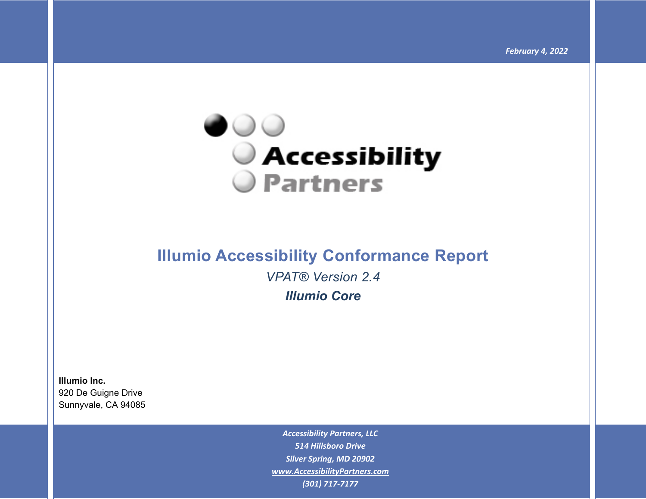

# **Illumio Accessibility Conformance Report**  *VPAT® Version 2.4*

*Illumio Core* 

**Illumio Inc.** 920 De Guigne Drive Sunnyvale, CA 94085

> *Accessibility Partners, LLC 514 Hillsboro Drive Silver Spring, MD 20902 [www.AccessibilityPartners.com](http://www.accessibilitypartners.com/) (301) 717-7177*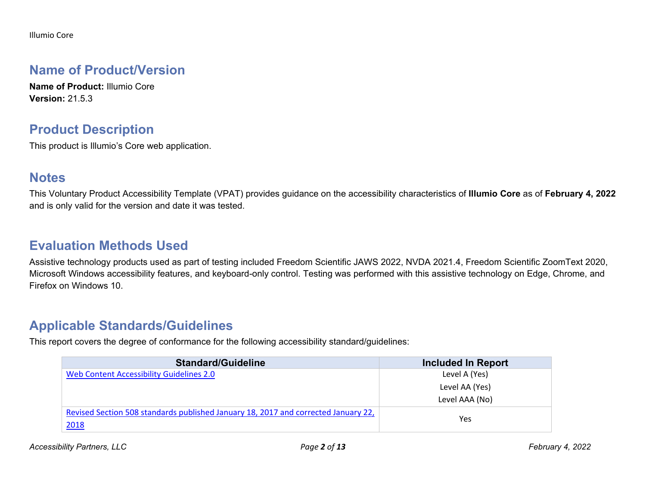Illumio Core

### **Name of Product/Version**

**Name of Product:** Illumio Core **Version:** 21.5.3

#### **Product Description**

This product is Illumio's Core web application.

### **Notes**

This Voluntary Product Accessibility Template (VPAT) provides guidance on the accessibility characteristics of **Illumio Core** as of **February 4, 2022** and is only valid for the version and date it was tested.

## **Evaluation Methods Used**

Assistive technology products used as part of testing included Freedom Scientific JAWS 2022, NVDA 2021.4, Freedom Scientific ZoomText 2020, Microsoft Windows accessibility features, and keyboard-only control. Testing was performed with this assistive technology on Edge, Chrome, and Firefox on Windows 10.

## **Applicable Standards/Guidelines**

This report covers the degree of conformance for the following accessibility standard/guidelines:

| <b>Standard/Guideline</b>                                                          | <b>Included In Report</b> |
|------------------------------------------------------------------------------------|---------------------------|
| Web Content Accessibility Guidelines 2.0                                           | Level A (Yes)             |
|                                                                                    | Level AA (Yes)            |
|                                                                                    | Level AAA (No)            |
| Revised Section 508 standards published January 18, 2017 and corrected January 22, | Yes                       |
| 2018                                                                               |                           |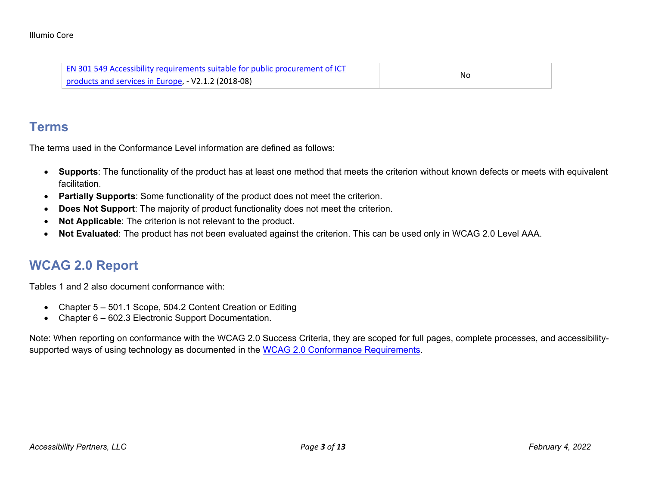| <b>EN 301 549 Accessibility requirements suitable for public procurement of ICT</b> | Nc |
|-------------------------------------------------------------------------------------|----|
| products and services in Europe, - V2.1.2 (2018-08)                                 |    |

#### **Terms**

The terms used in the Conformance Level information are defined as follows:

- **Supports**: The functionality of the product has at least one method that meets the criterion without known defects or meets with equivalent facilitation.
- **Partially Supports**: Some functionality of the product does not meet the criterion.
- **Does Not Support:** The majority of product functionality does not meet the criterion.
- **Not Applicable**: The criterion is not relevant to the product.
- **Not Evaluated**: The product has not been evaluated against the criterion. This can be used only in WCAG 2.0 Level AAA.

# **WCAG 2.0 Report**

Tables 1 and 2 also document conformance with:

- Chapter 5 501.1 Scope, 504.2 Content Creation or Editing
- Chapter 6 602.3 Electronic Support Documentation.

Note: When reporting on conformance with the WCAG 2.0 Success Criteria, they are scoped for full pages, complete processes, and accessibility-supported ways of using technology as documented in the [WCAG 2.0 Conformance Requirements.](https://www.w3.org/TR/WCAG20/#conformance-reqs)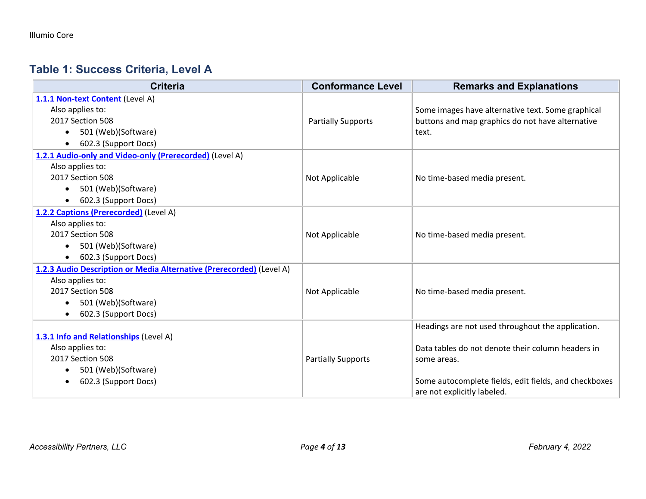## **Table 1: Success Criteria, Level A**

| <b>Criteria</b>                                                      | <b>Conformance Level</b>  | <b>Remarks and Explanations</b>                       |
|----------------------------------------------------------------------|---------------------------|-------------------------------------------------------|
| 1.1.1 Non-text Content (Level A)                                     |                           |                                                       |
| Also applies to:                                                     |                           | Some images have alternative text. Some graphical     |
| 2017 Section 508                                                     | <b>Partially Supports</b> | buttons and map graphics do not have alternative      |
| 501 (Web)(Software)                                                  |                           | text.                                                 |
| 602.3 (Support Docs)                                                 |                           |                                                       |
| 1.2.1 Audio-only and Video-only (Prerecorded) (Level A)              |                           |                                                       |
| Also applies to:                                                     |                           |                                                       |
| 2017 Section 508                                                     | Not Applicable            | No time-based media present.                          |
| 501 (Web)(Software)<br>$\bullet$                                     |                           |                                                       |
| 602.3 (Support Docs)<br>$\bullet$                                    |                           |                                                       |
| 1.2.2 Captions (Prerecorded) (Level A)                               |                           |                                                       |
| Also applies to:                                                     |                           |                                                       |
| 2017 Section 508                                                     | Not Applicable            | No time-based media present.                          |
| 501 (Web)(Software)                                                  |                           |                                                       |
| 602.3 (Support Docs)                                                 |                           |                                                       |
| 1.2.3 Audio Description or Media Alternative (Prerecorded) (Level A) |                           |                                                       |
| Also applies to:                                                     |                           |                                                       |
| 2017 Section 508                                                     | Not Applicable            | No time-based media present.                          |
| 501 (Web)(Software)<br>$\bullet$                                     |                           |                                                       |
| 602.3 (Support Docs)<br>$\bullet$                                    |                           |                                                       |
|                                                                      |                           | Headings are not used throughout the application.     |
| 1.3.1 Info and Relationships (Level A)                               |                           |                                                       |
| Also applies to:                                                     |                           | Data tables do not denote their column headers in     |
| 2017 Section 508                                                     | <b>Partially Supports</b> | some areas.                                           |
| 501 (Web)(Software)                                                  |                           |                                                       |
| 602.3 (Support Docs)                                                 |                           | Some autocomplete fields, edit fields, and checkboxes |
|                                                                      |                           | are not explicitly labeled.                           |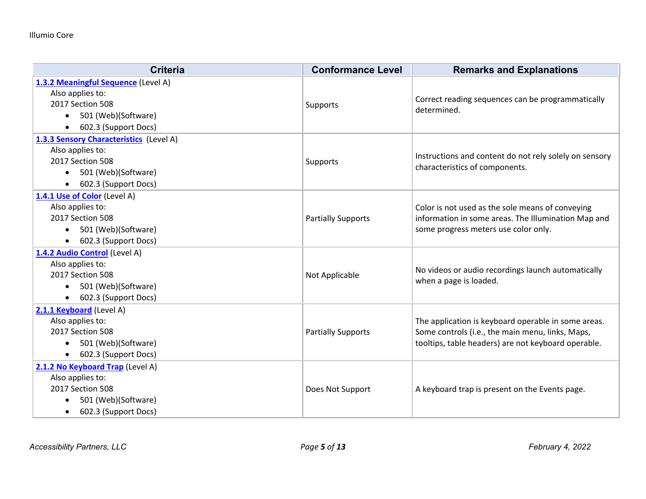| <b>Criteria</b>                         | <b>Conformance Level</b>  | <b>Remarks and Explanations</b>                                                             |
|-----------------------------------------|---------------------------|---------------------------------------------------------------------------------------------|
| 1.3.2 Meaningful Sequence (Level A)     |                           |                                                                                             |
| Also applies to:                        |                           | Correct reading sequences can be programmatically                                           |
| 2017 Section 508                        | Supports                  | determined.                                                                                 |
| 501 (Web)(Software)<br>$\bullet$        |                           |                                                                                             |
| 602.3 (Support Docs)<br>$\bullet$       |                           |                                                                                             |
| 1.3.3 Sensory Characteristics (Level A) |                           |                                                                                             |
| Also applies to:                        |                           | Instructions and content do not rely solely on sensory                                      |
| 2017 Section 508                        | Supports                  | characteristics of components.                                                              |
| 501 (Web)(Software)<br>$\bullet$        |                           |                                                                                             |
| 602.3 (Support Docs)<br>$\bullet$       |                           |                                                                                             |
| 1.4.1 Use of Color (Level A)            |                           |                                                                                             |
| Also applies to:                        |                           | Color is not used as the sole means of conveying                                            |
| 2017 Section 508                        | <b>Partially Supports</b> | information in some areas. The Illumination Map and<br>some progress meters use color only. |
| 501 (Web)(Software)<br>$\bullet$        |                           |                                                                                             |
| 602.3 (Support Docs)<br>$\bullet$       |                           |                                                                                             |
| 1.4.2 Audio Control (Level A)           |                           |                                                                                             |
| Also applies to:                        |                           | No videos or audio recordings launch automatically                                          |
| 2017 Section 508                        | Not Applicable            | when a page is loaded.                                                                      |
| 501 (Web)(Software)<br>$\bullet$        |                           |                                                                                             |
| 602.3 (Support Docs)                    |                           |                                                                                             |
| 2.1.1 Keyboard (Level A)                |                           |                                                                                             |
| Also applies to:                        |                           | The application is keyboard operable in some areas.                                         |
| 2017 Section 508                        | <b>Partially Supports</b> | Some controls (i.e., the main menu, links, Maps,                                            |
| 501 (Web)(Software)<br>$\bullet$        |                           | tooltips, table headers) are not keyboard operable.                                         |
| 602.3 (Support Docs)<br>$\bullet$       |                           |                                                                                             |
| 2.1.2 No Keyboard Trap (Level A)        |                           |                                                                                             |
| Also applies to:                        |                           |                                                                                             |
| 2017 Section 508                        | Does Not Support          | A keyboard trap is present on the Events page.                                              |
| 501 (Web)(Software)                     |                           |                                                                                             |
| 602.3 (Support Docs)<br>$\bullet$       |                           |                                                                                             |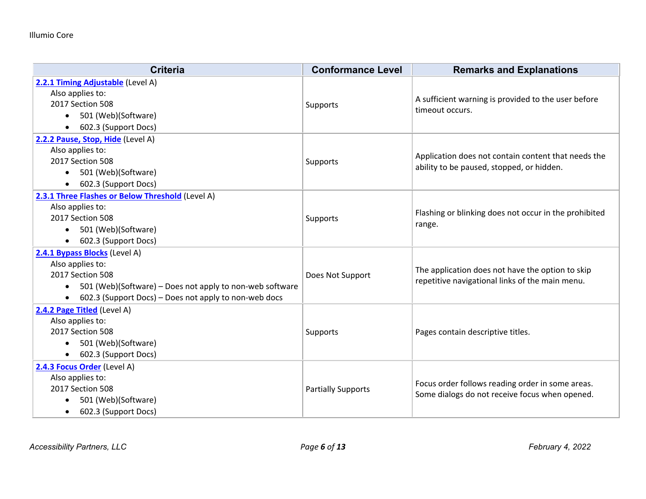| <b>Criteria</b>                                          | <b>Conformance Level</b>  | <b>Remarks and Explanations</b>                                 |
|----------------------------------------------------------|---------------------------|-----------------------------------------------------------------|
| 2.2.1 Timing Adjustable (Level A)<br>Also applies to:    |                           | A sufficient warning is provided to the user before             |
| 2017 Section 508                                         | Supports                  | timeout occurs.                                                 |
| 501 (Web)(Software)<br>$\bullet$                         |                           |                                                                 |
| 602.3 (Support Docs)<br>$\bullet$                        |                           |                                                                 |
| 2.2.2 Pause, Stop, Hide (Level A)                        |                           |                                                                 |
| Also applies to:<br>2017 Section 508                     | Supports                  | Application does not contain content that needs the             |
| 501 (Web)(Software)<br>$\bullet$                         |                           | ability to be paused, stopped, or hidden.                       |
| 602.3 (Support Docs)                                     |                           |                                                                 |
| 2.3.1 Three Flashes or Below Threshold (Level A)         |                           |                                                                 |
| Also applies to:                                         |                           | Flashing or blinking does not occur in the prohibited<br>range. |
| 2017 Section 508                                         | Supports                  |                                                                 |
| 501 (Web)(Software)                                      |                           |                                                                 |
| 602.3 (Support Docs)                                     |                           |                                                                 |
| 2.4.1 Bypass Blocks (Level A)                            |                           |                                                                 |
| Also applies to:                                         |                           | The application does not have the option to skip                |
| 2017 Section 508                                         | Does Not Support          | repetitive navigational links of the main menu.                 |
| 501 (Web)(Software) – Does not apply to non-web software |                           |                                                                 |
| 602.3 (Support Docs) – Does not apply to non-web docs    |                           |                                                                 |
| 2.4.2 Page Titled (Level A)                              |                           |                                                                 |
| Also applies to:<br>2017 Section 508                     |                           |                                                                 |
| 501 (Web)(Software)                                      | Supports                  | Pages contain descriptive titles.                               |
| 602.3 (Support Docs)                                     |                           |                                                                 |
| 2.4.3 Focus Order (Level A)                              |                           |                                                                 |
| Also applies to:                                         |                           |                                                                 |
| 2017 Section 508                                         | <b>Partially Supports</b> | Focus order follows reading order in some areas.                |
| 501 (Web)(Software)                                      |                           | Some dialogs do not receive focus when opened.                  |
| 602.3 (Support Docs)                                     |                           |                                                                 |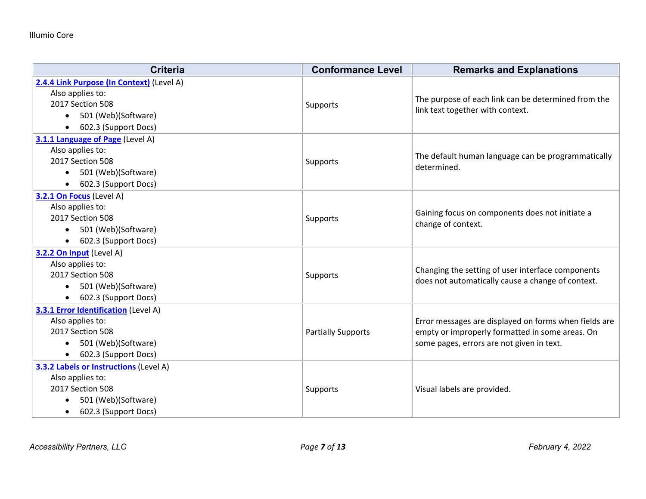| <b>Criteria</b>                               | <b>Conformance Level</b>  | <b>Remarks and Explanations</b>                                                                                                                       |
|-----------------------------------------------|---------------------------|-------------------------------------------------------------------------------------------------------------------------------------------------------|
| 2.4.4 Link Purpose (In Context) (Level A)     |                           |                                                                                                                                                       |
| Also applies to:                              |                           | The purpose of each link can be determined from the<br>link text together with context.                                                               |
| 2017 Section 508                              | <b>Supports</b>           |                                                                                                                                                       |
| 501 (Web)(Software)<br>$\bullet$              |                           |                                                                                                                                                       |
| 602.3 (Support Docs)                          |                           |                                                                                                                                                       |
| 3.1.1 Language of Page (Level A)              |                           |                                                                                                                                                       |
| Also applies to:                              |                           | The default human language can be programmatically                                                                                                    |
| 2017 Section 508                              | <b>Supports</b>           | determined.                                                                                                                                           |
| 501 (Web)(Software)<br>$\bullet$              |                           |                                                                                                                                                       |
| 602.3 (Support Docs)                          |                           |                                                                                                                                                       |
| 3.2.1 On Focus (Level A)                      |                           |                                                                                                                                                       |
| Also applies to:                              |                           | Gaining focus on components does not initiate a<br>change of context.                                                                                 |
| 2017 Section 508                              | Supports                  |                                                                                                                                                       |
| 501 (Web)(Software)                           |                           |                                                                                                                                                       |
| 602.3 (Support Docs)                          |                           |                                                                                                                                                       |
| 3.2.2 On Input (Level A)                      |                           |                                                                                                                                                       |
| Also applies to:                              |                           | Changing the setting of user interface components                                                                                                     |
| 2017 Section 508                              | Supports                  | does not automatically cause a change of context.                                                                                                     |
| 501 (Web)(Software)<br>$\bullet$              |                           |                                                                                                                                                       |
| 602.3 (Support Docs)                          |                           |                                                                                                                                                       |
| <b>3.3.1 Error Identification (Level A)</b>   |                           |                                                                                                                                                       |
| Also applies to:                              |                           | Error messages are displayed on forms when fields are<br>empty or improperly formatted in some areas. On<br>some pages, errors are not given in text. |
| 2017 Section 508                              | <b>Partially Supports</b> |                                                                                                                                                       |
| 501 (Web)(Software)                           |                           |                                                                                                                                                       |
| 602.3 (Support Docs)                          |                           |                                                                                                                                                       |
| <b>3.3.2 Labels or Instructions (Level A)</b> |                           |                                                                                                                                                       |
| Also applies to:                              |                           |                                                                                                                                                       |
| 2017 Section 508                              | <b>Supports</b>           | Visual labels are provided.                                                                                                                           |
| 501 (Web)(Software)                           |                           |                                                                                                                                                       |
| 602.3 (Support Docs)<br>$\bullet$             |                           |                                                                                                                                                       |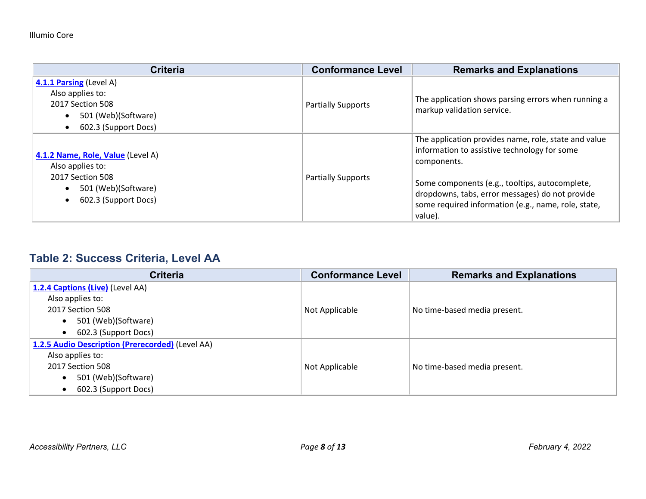| <b>Criteria</b>                                                                                                                       | <b>Conformance Level</b>  | <b>Remarks and Explanations</b>                                                                                                                                                                                                                                                            |
|---------------------------------------------------------------------------------------------------------------------------------------|---------------------------|--------------------------------------------------------------------------------------------------------------------------------------------------------------------------------------------------------------------------------------------------------------------------------------------|
| 4.1.1 Parsing (Level A)<br>Also applies to:<br>2017 Section 508<br>501 (Web)(Software)<br>602.3 (Support Docs)                        | <b>Partially Supports</b> | The application shows parsing errors when running a<br>markup validation service.                                                                                                                                                                                                          |
| 4.1.2 Name, Role, Value (Level A)<br>Also applies to:<br>2017 Section 508<br>501 (Web)(Software)<br>602.3 (Support Docs)<br>$\bullet$ | <b>Partially Supports</b> | The application provides name, role, state and value<br>information to assistive technology for some<br>components.<br>Some components (e.g., tooltips, autocomplete,<br>dropdowns, tabs, error messages) do not provide<br>some required information (e.g., name, role, state,<br>value). |

## **Table 2: Success Criteria, Level AA**

| <b>Criteria</b>                                  | <b>Conformance Level</b> | <b>Remarks and Explanations</b> |
|--------------------------------------------------|--------------------------|---------------------------------|
| 1.2.4 Captions (Live) (Level AA)                 |                          |                                 |
| Also applies to:                                 |                          |                                 |
| 2017 Section 508                                 | Not Applicable           | No time-based media present.    |
| 501 (Web)(Software)<br>$\bullet$                 |                          |                                 |
| 602.3 (Support Docs)<br>$\bullet$                |                          |                                 |
| 1.2.5 Audio Description (Prerecorded) (Level AA) |                          |                                 |
| Also applies to:                                 |                          |                                 |
| 2017 Section 508                                 | Not Applicable           | No time-based media present.    |
| 501 (Web)(Software)<br>$\bullet$                 |                          |                                 |
| 602.3 (Support Docs)<br>$\bullet$                |                          |                                 |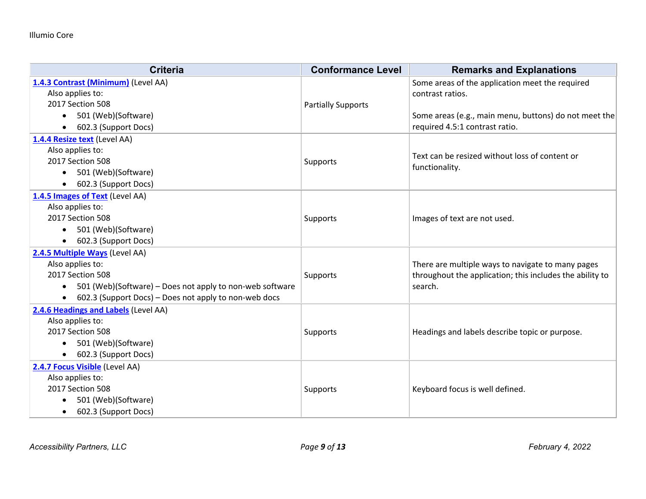| <b>Criteria</b>                                                    | <b>Conformance Level</b>  | <b>Remarks and Explanations</b>                          |
|--------------------------------------------------------------------|---------------------------|----------------------------------------------------------|
| 1.4.3 Contrast (Minimum) (Level AA)                                |                           | Some areas of the application meet the required          |
| Also applies to:                                                   |                           | contrast ratios.                                         |
| 2017 Section 508                                                   | <b>Partially Supports</b> |                                                          |
| 501 (Web)(Software)                                                |                           | Some areas (e.g., main menu, buttons) do not meet the    |
| 602.3 (Support Docs)<br>$\bullet$                                  |                           | required 4.5:1 contrast ratio.                           |
| 1.4.4 Resize text (Level AA)                                       |                           |                                                          |
| Also applies to:                                                   |                           | Text can be resized without loss of content or           |
| 2017 Section 508                                                   | Supports                  | functionality.                                           |
| 501 (Web)(Software)                                                |                           |                                                          |
| 602.3 (Support Docs)                                               |                           |                                                          |
| 1.4.5 Images of Text (Level AA)                                    |                           |                                                          |
| Also applies to:                                                   |                           |                                                          |
| 2017 Section 508                                                   | Supports                  | Images of text are not used.                             |
| 501 (Web)(Software)                                                |                           |                                                          |
| 602.3 (Support Docs)                                               |                           |                                                          |
| 2.4.5 Multiple Ways (Level AA)                                     |                           |                                                          |
| Also applies to:                                                   |                           | There are multiple ways to navigate to many pages        |
| 2017 Section 508                                                   | Supports                  | throughout the application; this includes the ability to |
| 501 (Web)(Software) – Does not apply to non-web software           |                           | search.                                                  |
| 602.3 (Support Docs) - Does not apply to non-web docs<br>$\bullet$ |                           |                                                          |
| 2.4.6 Headings and Labels (Level AA)                               |                           |                                                          |
| Also applies to:                                                   |                           |                                                          |
| 2017 Section 508                                                   | Supports                  | Headings and labels describe topic or purpose.           |
| 501 (Web)(Software)                                                |                           |                                                          |
| 602.3 (Support Docs)<br>$\bullet$                                  |                           |                                                          |
| 2.4.7 Focus Visible (Level AA)                                     |                           |                                                          |
| Also applies to:                                                   |                           |                                                          |
| 2017 Section 508                                                   | Supports                  | Keyboard focus is well defined.                          |
| 501 (Web)(Software)                                                |                           |                                                          |
| 602.3 (Support Docs)<br>$\bullet$                                  |                           |                                                          |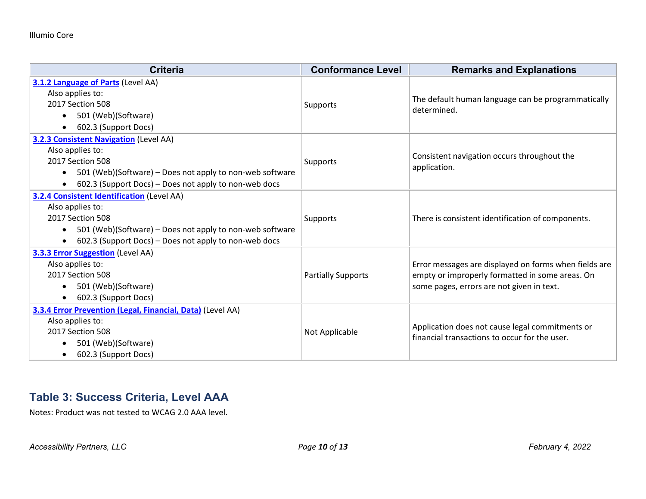| <b>Criteria</b>                                                       | <b>Conformance Level</b>  | <b>Remarks and Explanations</b>                                                                  |
|-----------------------------------------------------------------------|---------------------------|--------------------------------------------------------------------------------------------------|
| 3.1.2 Language of Parts (Level AA)                                    |                           |                                                                                                  |
| Also applies to:                                                      |                           | The default human language can be programmatically<br>determined.                                |
| 2017 Section 508                                                      | Supports                  |                                                                                                  |
| 501 (Web)(Software)                                                   |                           |                                                                                                  |
| 602.3 (Support Docs)                                                  |                           |                                                                                                  |
| 3.2.3 Consistent Navigation (Level AA)                                |                           |                                                                                                  |
| Also applies to:                                                      |                           | Consistent navigation occurs throughout the                                                      |
| 2017 Section 508                                                      | Supports                  | application.                                                                                     |
| 501 (Web)(Software) - Does not apply to non-web software<br>$\bullet$ |                           |                                                                                                  |
| 602.3 (Support Docs) – Does not apply to non-web docs                 |                           |                                                                                                  |
| <b>3.2.4 Consistent Identification (Level AA)</b>                     |                           |                                                                                                  |
| Also applies to:                                                      |                           |                                                                                                  |
| 2017 Section 508                                                      | Supports                  | There is consistent identification of components.                                                |
| 501 (Web)(Software) - Does not apply to non-web software              |                           |                                                                                                  |
| 602.3 (Support Docs) – Does not apply to non-web docs                 |                           |                                                                                                  |
| <b>3.3.3 Error Suggestion</b> (Level AA)                              |                           |                                                                                                  |
| Also applies to:                                                      |                           | Error messages are displayed on forms when fields are                                            |
| 2017 Section 508                                                      | <b>Partially Supports</b> | empty or improperly formatted in some areas. On<br>some pages, errors are not given in text.     |
| 501 (Web)(Software)                                                   |                           |                                                                                                  |
| 602.3 (Support Docs)                                                  |                           |                                                                                                  |
| 3.3.4 Error Prevention (Legal, Financial, Data) (Level AA)            |                           |                                                                                                  |
| Also applies to:                                                      | Not Applicable            | Application does not cause legal commitments or<br>financial transactions to occur for the user. |
| 2017 Section 508                                                      |                           |                                                                                                  |
| 501 (Web)(Software)                                                   |                           |                                                                                                  |
| 602.3 (Support Docs)                                                  |                           |                                                                                                  |

#### **Table 3: Success Criteria, Level AAA**

Notes: Product was not tested to WCAG 2.0 AAA level.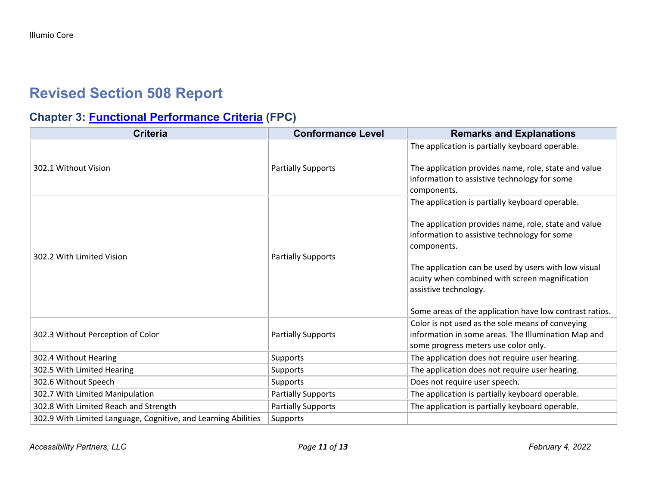# **Revised Section 508 Report**

## **Chapter 3: [Functional Performance Criteria](https://www.access-board.gov/guidelines-and-standards/communications-and-it/about-the-ict-refresh/final-rule/text-of-the-standards-and-guidelines#302-functional-performance-criteria) (FPC)**

| <b>Criteria</b>                                                | <b>Conformance Level</b>  | <b>Remarks and Explanations</b>                                                                                                                 |
|----------------------------------------------------------------|---------------------------|-------------------------------------------------------------------------------------------------------------------------------------------------|
|                                                                |                           | The application is partially keyboard operable.                                                                                                 |
| 302.1 Without Vision                                           | <b>Partially Supports</b> | The application provides name, role, state and value<br>information to assistive technology for some<br>components.                             |
|                                                                |                           | The application is partially keyboard operable.                                                                                                 |
| 302.2 With Limited Vision                                      | <b>Partially Supports</b> | The application provides name, role, state and value<br>information to assistive technology for some<br>components.                             |
|                                                                |                           | The application can be used by users with low visual<br>acuity when combined with screen magnification<br>assistive technology.                 |
|                                                                |                           | Some areas of the application have low contrast ratios.                                                                                         |
| 302.3 Without Perception of Color                              | <b>Partially Supports</b> | Color is not used as the sole means of conveying<br>information in some areas. The Illumination Map and<br>some progress meters use color only. |
| 302.4 Without Hearing                                          | <b>Supports</b>           | The application does not require user hearing.                                                                                                  |
| 302.5 With Limited Hearing                                     | Supports                  | The application does not require user hearing.                                                                                                  |
| 302.6 Without Speech                                           | Supports                  | Does not require user speech.                                                                                                                   |
| 302.7 With Limited Manipulation                                | <b>Partially Supports</b> | The application is partially keyboard operable.                                                                                                 |
| 302.8 With Limited Reach and Strength                          | <b>Partially Supports</b> | The application is partially keyboard operable.                                                                                                 |
| 302.9 With Limited Language, Cognitive, and Learning Abilities | <b>Supports</b>           |                                                                                                                                                 |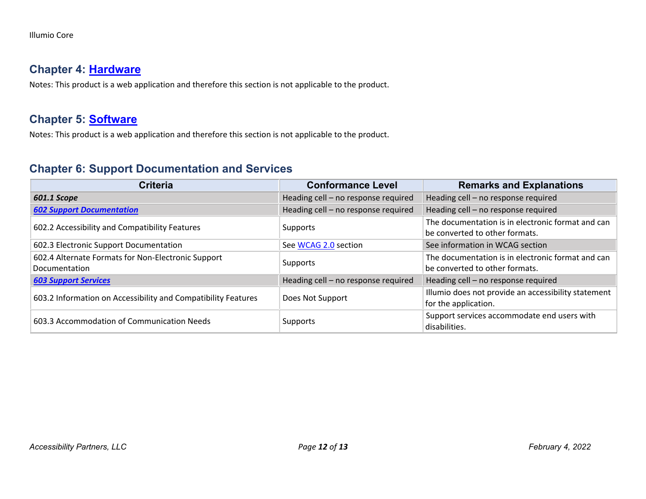#### **Chapter 4: [Hardware](https://www.access-board.gov/guidelines-and-standards/communications-and-it/about-the-ict-refresh/final-rule/text-of-the-standards-and-guidelines#401-general)**

Notes: This product is a web application and therefore this section is not applicable to the product.

#### **Chapter 5: [Software](https://www.access-board.gov/guidelines-and-standards/communications-and-it/about-the-ict-refresh/final-rule/text-of-the-standards-and-guidelines#501-general)**

Notes: This product is a web application and therefore this section is not applicable to the product.

#### **Chapter 6: Support Documentation and Services**

| <b>Criteria</b>                                                     | <b>Conformance Level</b>            | <b>Remarks and Explanations</b>                                                     |
|---------------------------------------------------------------------|-------------------------------------|-------------------------------------------------------------------------------------|
| 601.1 Scope                                                         | Heading cell - no response required | Heading cell - no response required                                                 |
| <b>602 Support Documentation</b>                                    | Heading cell - no response required | Heading cell - no response required                                                 |
| 602.2 Accessibility and Compatibility Features                      | Supports                            | The documentation is in electronic format and can<br>be converted to other formats. |
| 602.3 Electronic Support Documentation                              | See WCAG 2.0 section                | See information in WCAG section                                                     |
| 602.4 Alternate Formats for Non-Electronic Support<br>Documentation | Supports                            | The documentation is in electronic format and can<br>be converted to other formats. |
| <b>603 Support Services</b>                                         | Heading cell - no response required | Heading cell - no response required                                                 |
| 603.2 Information on Accessibility and Compatibility Features       | Does Not Support                    | Illumio does not provide an accessibility statement<br>for the application.         |
| 603.3 Accommodation of Communication Needs                          | Supports                            | Support services accommodate end users with<br>disabilities.                        |